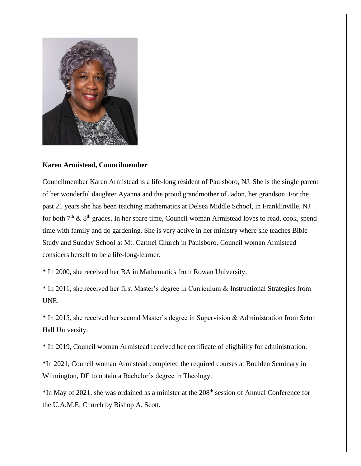

## **Karen Armistead, Councilmember**

Councilmember Karen Armistead is a life-long resident of Paulsboro, NJ. She is the single parent of her wonderful daughter Ayanna and the proud grandmother of Jadon, her grandson. For the past 21 years she has been teaching mathematics at Delsea Middle School, in Franklinville, NJ for both  $7<sup>th</sup>$  &  $8<sup>th</sup>$  grades. In her spare time, Council woman Armistead loves to read, cook, spend time with family and do gardening. She is very active in her ministry where she teaches Bible Study and Sunday School at Mt. Carmel Church in Paulsboro. Council woman Armistead considers herself to be a life-long-learner.

\* In 2000, she received her BA in Mathematics from Rowan University.

\* In 2011, she received her first Master's degree in Curriculum & Instructional Strategies from UNE.

\* In 2015, she received her second Master's degree in Supervision & Administration from Seton Hall University.

\* In 2019, Council woman Armistead received her certificate of eligibility for administration.

\*In 2021, Council woman Armistead completed the required courses at Boulden Seminary in Wilmington, DE to obtain a Bachelor's degree in Theology.

\*In May of 2021, she was ordained as a minister at the 208th session of Annual Conference for the U.A.M.E. Church by Bishop A. Scott.